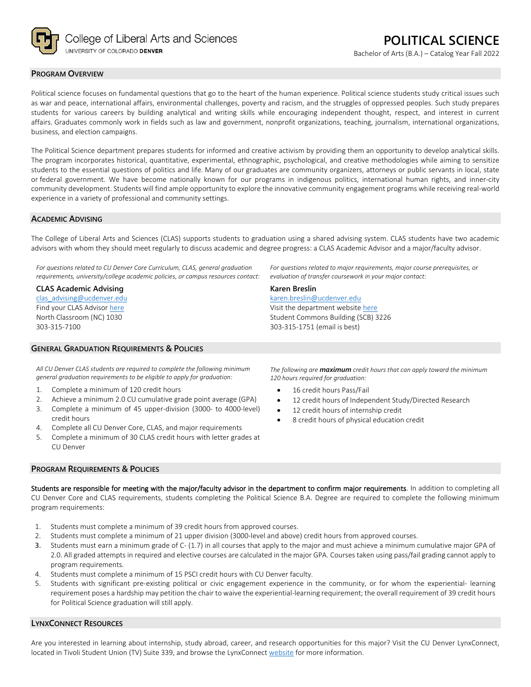

#### **PROGRAM OVERVIEW**

Political science focuses on fundamental questions that go to the heart of the human experience. Political science students study critical issues such as war and peace, international affairs, environmental challenges, poverty and racism, and the struggles of oppressed peoples. Such study prepares students for various careers by building analytical and writing skills while encouraging independent thought, respect, and interest in current affairs. Graduates commonly work in fields such as law and government, nonprofit organizations, teaching, journalism, international organizations, business, and election campaigns.

The Political Science department prepares students for informed and creative activism by providing them an opportunity to develop analytical skills. The program incorporates historical, quantitative, experimental, ethnographic, psychological, and creative methodologies while aiming to sensitize students to the essential questions of politics and life. Many of our graduates are community organizers, attorneys or public servants in local, state or federal government. We have become nationally known for our programs in indigenous politics, international human rights, and inner-city community development. Students will find ample opportunity to explore the innovative community engagement programs while receiving real-world experience in a variety of professional and community settings.

#### **ACADEMIC ADVISING**

The College of Liberal Arts and Sciences (CLAS) supports students to graduation using a shared advising system. CLAS students have two academic advisors with whom they should meet regularly to discuss academic and degree progress: a CLAS Academic Advisor and a major/faculty advisor.

**Karen Breslin**

[karen.breslin@ucdenver.edu](mailto:karen.breslin@ucdenver.edu) Visit the department websit[e here](https://clas.ucdenver.edu/polisci/) Student Commons Building (SCB) 3226

303-315-1751 (email is best)

*For questions related to CU Denver Core Curriculum, CLAS, general graduation requirements, university/college academic policies, or campus resources contact:*

#### **CLAS Academic Advising**

[clas\\_advising@ucdenver.edu](mailto:clas_advising@ucdenver.edu) Find your CLAS Adviso[r here](https://clas.ucdenver.edu/advising/) North Classroom (NC) 1030 303-315-7100

## **GENERAL GRADUATION REQUIREMENTS & POLICIES**

*All CU Denver CLAS students are required to complete the following minimum general graduation requirements to be eligible to apply for graduation:*

- 1. Complete a minimum of 120 credit hours
- 2. Achieve a minimum 2.0 CU cumulative grade point average (GPA)
- 3. Complete a minimum of 45 upper-division (3000- to 4000-level) credit hours
- 4. Complete all CU Denver Core, CLAS, and major requirements
- 5. Complete a minimum of 30 CLAS credit hours with letter grades at CU Denver

### **PROGRAM REQUIREMENTS & POLICIES**

16 credit hours Pass/Fail 12 credit hours of Independent Study/Directed Research

- 12 credit hours of internship credit
- 8 credit hours of physical education credit

Students are responsible for meeting with the major/faculty advisor in the department to confirm major requirements. In addition to completing all CU Denver Core and CLAS requirements, students completing the Political Science B.A. Degree are required to complete the following minimum program requirements:

- 1. Students must complete a minimum of 39 credit hours from approved courses.
- 2. Students must complete a minimum of 21 upper division (3000-level and above) credit hours from approved courses.
- 3. Students must earn a minimum grade of C- (1.7) in all courses that apply to the major and must achieve a minimum cumulative major GPA of 2.0. All graded attempts in required and elective courses are calculated in the major GPA. Courses taken using pass/fail grading cannot apply to program requirements.
- 4. Students must complete a minimum of 15 PSCI credit hours with CU Denver faculty.
- 5. Students with significant pre-existing political or civic engagement experience in the community, or for whom the experiential- learning requirement poses a hardship may petition the chair to waive the experiential-learning requirement; the overall requirement of 39 credit hours for Political Science graduation will still apply.

# **LYNXCONNECT RESOURCES**

Are you interested in learning about internship, study abroad, career, and research opportunities for this major? Visit the CU Denver LynxConnect, located in Tivoli Student Union (TV) Suite 339, and browse the LynxConnec[t website](http://www.ucdenver.edu/lynxconnect/Pages/default.aspx) for more information.

*The following are maximum credit hours that can apply toward the minimum 120 hours required for graduation:*

*For questions related to major requirements, major course prerequisites, or* 

*evaluation of transfer coursework in your major contact:*